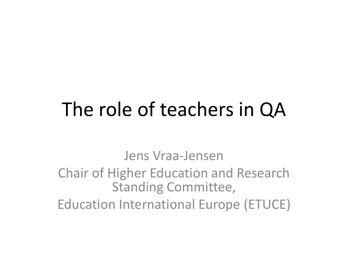# The role of teachers in QA

Jens Vraa-Jensen

#### Chair of Higher Education and Research Standing Committee,

Education International Europe (ETUCE)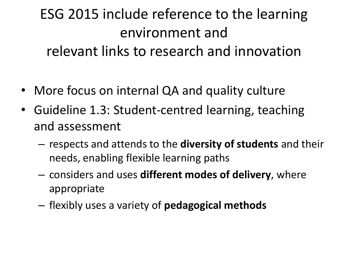### ESG 2015 include reference to the learning environment and relevant links to research and innovation

- More focus on internal QA and quality culture
- Guideline 1.3: Student-centred learning, teaching and assessment
	- respects and attends to the **diversity of students** and their needs, enabling flexible learning paths
	- considers and uses **different modes of delivery**, where appropriate
	- flexibly uses a variety of **pedagogical methods**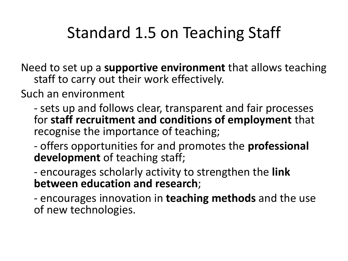### Standard 1.5 on Teaching Staff

Need to set up a **supportive environment** that allows teaching staff to carry out their work effectively.

Such an environment

- sets up and follows clear, transparent and fair processes for **staff recruitment and conditions of employment** that recognise the importance of teaching;

- offers opportunities for and promotes the **professional development** of teaching staff;

- encourages scholarly activity to strengthen the **link between education and research**;

- encourages innovation in **teaching methods** and the use of new technologies.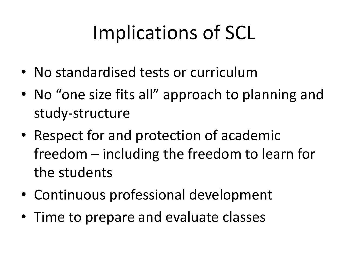# Implications of SCL

- No standardised tests or curriculum
- No "one size fits all" approach to planning and study-structure
- Respect for and protection of academic freedom – including the freedom to learn for the students
- Continuous professional development
- Time to prepare and evaluate classes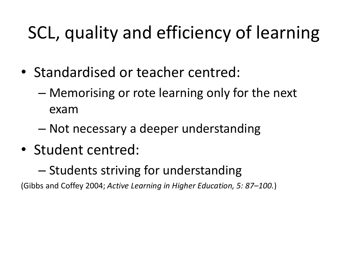## SCL, quality and efficiency of learning

- Standardised or teacher centred:
	- Memorising or rote learning only for the next exam
	- Not necessary a deeper understanding
- Student centred:
	- Students striving for understanding

(Gibbs and Coffey 2004; *Active Learning in Higher Education, 5: 87–100.*)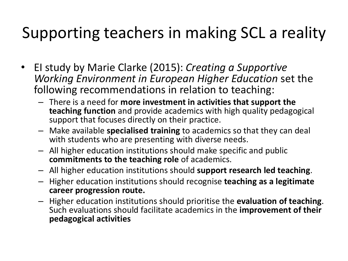### Supporting teachers in making SCL a reality

- EI study by Marie Clarke (2015): *Creating a Supportive Working Environment in European Higher Education* set the following recommendations in relation to teaching:
	- There is a need for **more investment in activities that support the teaching function** and provide academics with high quality pedagogical support that focuses directly on their practice.
	- Make available **specialised training** to academics so that they can deal with students who are presenting with diverse needs.
	- All higher education institutions should make specific and public **commitments to the teaching role** of academics.
	- All higher education institutions should **support research led teaching**.
	- Higher education institutions should recognise **teaching as a legitimate career progression route.**
	- Higher education institutions should prioritise the **evaluation of teaching**. Such evaluations should facilitate academics in the **improvement of their pedagogical activities**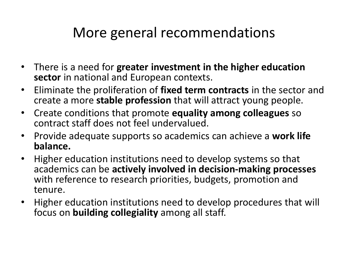#### More general recommendations

- There is a need for **greater investment in the higher education sector** in national and European contexts.
- Eliminate the proliferation of **fixed term contracts** in the sector and create a more **stable profession** that will attract young people.
- Create conditions that promote **equality among colleagues** so contract staff does not feel undervalued.
- Provide adequate supports so academics can achieve a **work life balance.**
- Higher education institutions need to develop systems so that academics can be **actively involved in decision-making processes**  with reference to research priorities, budgets, promotion and tenure.
- Higher education institutions need to develop procedures that will focus on **building collegiality** among all staff.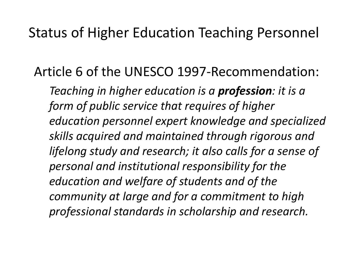#### Status of Higher Education Teaching Personnel

Article 6 of the UNESCO 1997-Recommendation:

*Teaching in higher education is a profession: it is a form of public service that requires of higher education personnel expert knowledge and specialized skills acquired and maintained through rigorous and lifelong study and research; it also calls for a sense of personal and institutional responsibility for the education and welfare of students and of the community at large and for a commitment to high professional standards in scholarship and research.*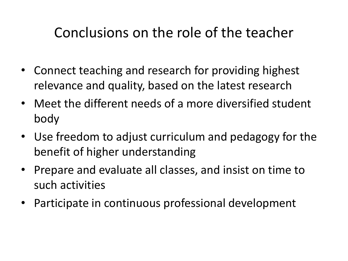### Conclusions on the role of the teacher

- Connect teaching and research for providing highest relevance and quality, based on the latest research
- Meet the different needs of a more diversified student body
- Use freedom to adjust curriculum and pedagogy for the benefit of higher understanding
- Prepare and evaluate all classes, and insist on time to such activities
- Participate in continuous professional development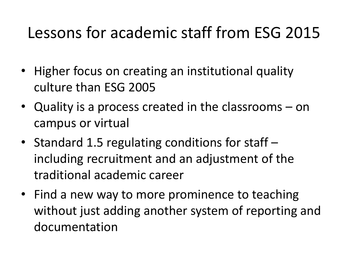### Lessons for academic staff from ESG 2015

- Higher focus on creating an institutional quality culture than ESG 2005
- Quality is a process created in the classrooms on campus or virtual
- Standard 1.5 regulating conditions for staff including recruitment and an adjustment of the traditional academic career
- Find a new way to more prominence to teaching without just adding another system of reporting and documentation